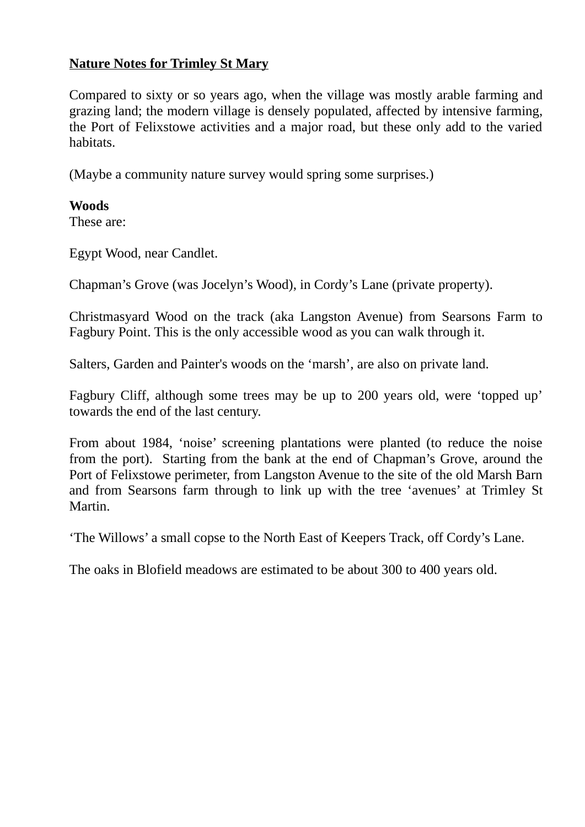## **Nature Notes for Trimley St Mary**

Compared to sixty or so years ago, when the village was mostly arable farming and grazing land; the modern village is densely populated, affected by intensive farming, the Port of Felixstowe activities and a major road, but these only add to the varied habitats.

(Maybe a community nature survey would spring some surprises.)

#### **Woods**

These are:

Egypt Wood, near Candlet.

Chapman's Grove (was Jocelyn's Wood), in Cordy's Lane (private property).

Christmasyard Wood on the track (aka Langston Avenue) from Searsons Farm to Fagbury Point. This is the only accessible wood as you can walk through it.

Salters, Garden and Painter's woods on the 'marsh', are also on private land.

Fagbury Cliff, although some trees may be up to 200 years old, were 'topped up' towards the end of the last century.

From about 1984, 'noise' screening plantations were planted (to reduce the noise from the port). Starting from the bank at the end of Chapman's Grove, around the Port of Felixstowe perimeter, from Langston Avenue to the site of the old Marsh Barn and from Searsons farm through to link up with the tree 'avenues' at Trimley St Martin.

'The Willows' a small copse to the North East of Keepers Track, off Cordy's Lane.

The oaks in Blofield meadows are estimated to be about 300 to 400 years old.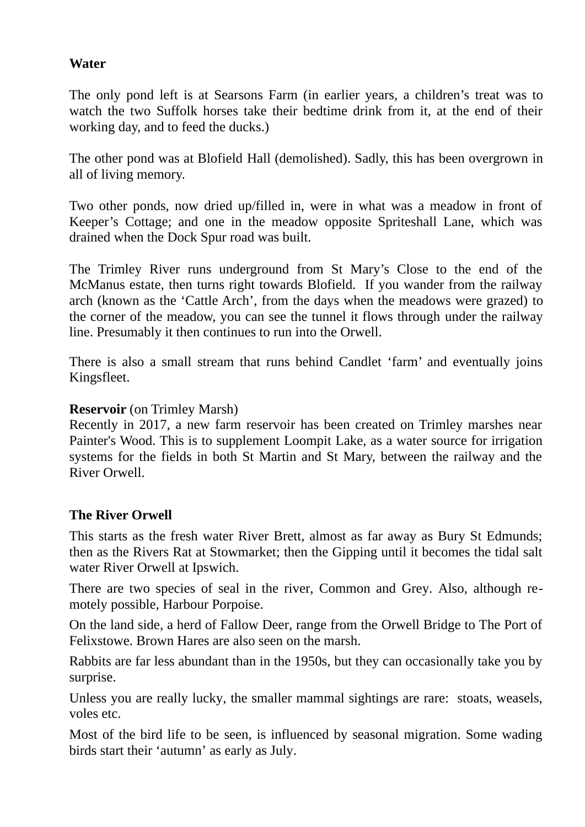## **Water**

The only pond left is at Searsons Farm (in earlier years, a children's treat was to watch the two Suffolk horses take their bedtime drink from it, at the end of their working day, and to feed the ducks.)

The other pond was at Blofield Hall (demolished). Sadly, this has been overgrown in all of living memory.

Two other ponds, now dried up/filled in, were in what was a meadow in front of Keeper's Cottage; and one in the meadow opposite Spriteshall Lane, which was drained when the Dock Spur road was built.

The Trimley River runs underground from St Mary's Close to the end of the McManus estate, then turns right towards Blofield. If you wander from the railway arch (known as the 'Cattle Arch', from the days when the meadows were grazed) to the corner of the meadow, you can see the tunnel it flows through under the railway line. Presumably it then continues to run into the Orwell.

There is also a small stream that runs behind Candlet 'farm' and eventually joins Kingsfleet.

#### **Reservoir** (on Trimley Marsh)

Recently in 2017, a new farm reservoir has been created on Trimley marshes near Painter's Wood. This is to supplement Loompit Lake, as a water source for irrigation systems for the fields in both St Martin and St Mary, between the railway and the River Orwell.

## **The River Orwell**

This starts as the fresh water River Brett, almost as far away as Bury St Edmunds; then as the Rivers Rat at Stowmarket; then the Gipping until it becomes the tidal salt water River Orwell at Ipswich.

There are two species of seal in the river, Common and Grey. Also, although remotely possible, Harbour Porpoise.

On the land side, a herd of Fallow Deer, range from the Orwell Bridge to The Port of Felixstowe. Brown Hares are also seen on the marsh.

Rabbits are far less abundant than in the 1950s, but they can occasionally take you by surprise.

Unless you are really lucky, the smaller mammal sightings are rare: stoats, weasels, voles etc.

Most of the bird life to be seen, is influenced by seasonal migration. Some wading birds start their 'autumn' as early as July.